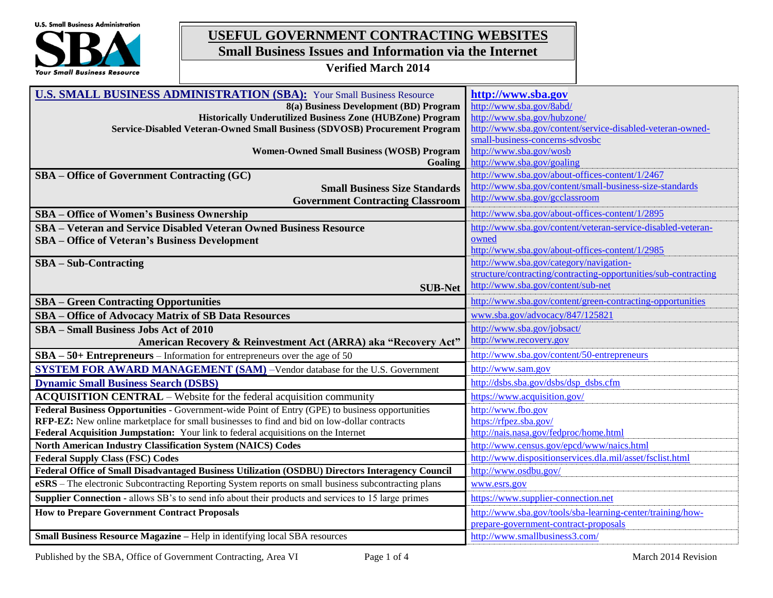

# **USEFUL GOVERNMENT CONTRACTING WEBSITES Small Business Issues and Information via the Internet**

**Verified March 2014**

| <b>U.S. SMALL BUSINESS ADMINISTRATION (SBA):</b> Your Small Business Resource                              | http://www.sba.gov                                              |
|------------------------------------------------------------------------------------------------------------|-----------------------------------------------------------------|
| 8(a) Business Development (BD) Program                                                                     | http://www.sba.gov/8abd/                                        |
| <b>Historically Underutilized Business Zone (HUBZone) Program</b>                                          | http://www.sba.gov/hubzone/                                     |
| Service-Disabled Veteran-Owned Small Business (SDVOSB) Procurement Program                                 | http://www.sba.gov/content/service-disabled-veteran-owned-      |
|                                                                                                            | small-business-concerns-sdvosbc                                 |
| <b>Women-Owned Small Business (WOSB) Program</b>                                                           | http://www.sba.gov/wosb                                         |
| Goaling                                                                                                    | http://www.sba.gov/goaling                                      |
| SBA – Office of Government Contracting (GC)                                                                | http://www.sba.gov/about-offices-content/1/2467                 |
| <b>Small Business Size Standards</b>                                                                       | http://www.sba.gov/content/small-business-size-standards        |
| <b>Government Contracting Classroom</b>                                                                    | http://www.sba.gov/gcclassroom                                  |
| <b>SBA</b> – Office of Women's Business Ownership                                                          | http://www.sba.gov/about-offices-content/1/2895                 |
| <b>SBA</b> – Veteran and Service Disabled Veteran Owned Business Resource                                  | http://www.sba.gov/content/veteran-service-disabled-veteran-    |
| <b>SBA</b> – Office of Veteran's Business Development                                                      | owned                                                           |
|                                                                                                            | http://www.sba.gov/about-offices-content/1/2985                 |
| $SBA - Sub-Contracting$                                                                                    | http://www.sba.gov/category/navigation-                         |
|                                                                                                            | structure/contracting/contracting-opportunities/sub-contracting |
| <b>SUB-Net</b>                                                                                             | http://www.sba.gov/content/sub-net                              |
| <b>SBA – Green Contracting Opportunities</b>                                                               | http://www.sba.gov/content/green-contracting-opportunities      |
| SBA - Office of Advocacy Matrix of SB Data Resources                                                       | www.sba.gov/advocacy/847/125821                                 |
| <b>SBA</b> – Small Business Jobs Act of 2010                                                               | http://www.sba.gov/jobsact/                                     |
| American Recovery & Reinvestment Act (ARRA) aka "Recovery Act"                                             | http://www.recovery.gov                                         |
| $SBA - 50+ Entrepreneurs - Information for antrepreneurs over the age of 50$                               | http://www.sba.gov/content/50-entrepreneurs                     |
| <b>SYSTEM FOR AWARD MANAGEMENT (SAM)</b> -Vendor database for the U.S. Government                          | http://www.sam.gov                                              |
| <b>Dynamic Small Business Search (DSBS)</b>                                                                | http://dsbs.sba.gov/dsbs/dsp dsbs.cfm                           |
| ACQUISITION CENTRAL - Website for the federal acquisition community                                        | https://www.acquisition.gov/                                    |
| Federal Business Opportunities - Government-wide Point of Entry (GPE) to business opportunities            | http://www.fbo.gov                                              |
| RFP-EZ: New online marketplace for small businesses to find and bid on low-dollar contracts                | https://rfpez.sba.gov/                                          |
| Federal Acquisition Jumpstation: Your link to federal acquisitions on the Internet                         | http://nais.nasa.gov/fedproc/home.html                          |
| <b>North American Industry Classification System (NAICS) Codes</b>                                         | http://www.census.gov/epcd/www/naics.html                       |
| <b>Federal Supply Class (FSC) Codes</b>                                                                    | http://www.dispositionservices.dla.mil/asset/fsclist.html       |
| Federal Office of Small Disadvantaged Business Utilization (OSDBU) Directors Interagency Council           | http://www.osdbu.gov/                                           |
| eSRS - The electronic Subcontracting Reporting System reports on small business subcontracting plans       | www.esrs.gov                                                    |
| <b>Supplier Connection - allows SB's to send info about their products and services to 15 large primes</b> | https://www.supplier-connection.net                             |
| <b>How to Prepare Government Contract Proposals</b>                                                        | http://www.sba.gov/tools/sba-learning-center/training/how-      |
|                                                                                                            | prepare-government-contract-proposals                           |
| Small Business Resource Magazine - Help in identifying local SBA resources                                 | http://www.smallbusiness3.com/                                  |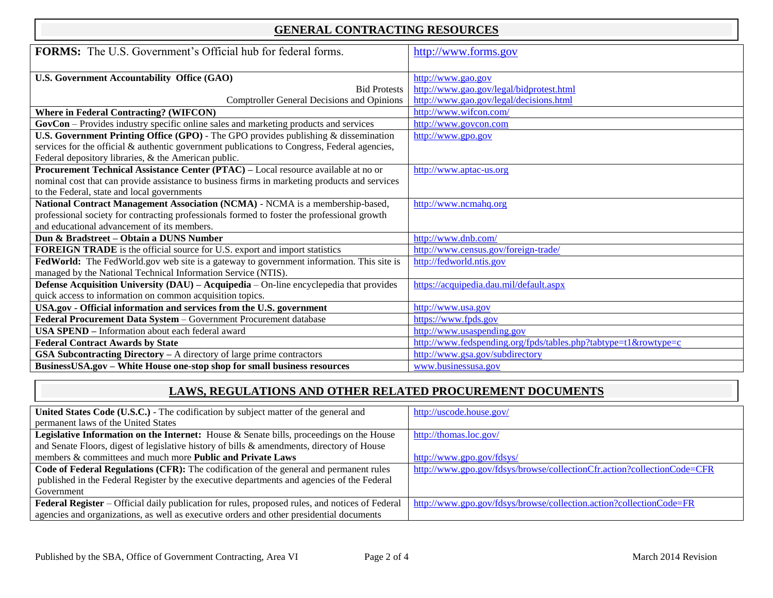## **GENERAL CONTRACTING RESOURCES**

| <b>FORMS:</b> The U.S. Government's Official hub for federal forms.                             | http://www.forms.gov                                            |
|-------------------------------------------------------------------------------------------------|-----------------------------------------------------------------|
|                                                                                                 |                                                                 |
| <b>U.S. Government Accountability Office (GAO)</b>                                              | http://www.gao.gov                                              |
| <b>Bid Protests</b>                                                                             | http://www.gao.gov/legal/bidprotest.html                        |
| <b>Comptroller General Decisions and Opinions</b>                                               | http://www.gao.gov/legal/decisions.html                         |
| <b>Where in Federal Contracting? (WIFCON)</b>                                                   | http://www.wifcon.com/                                          |
| GovCon – Provides industry specific online sales and marketing products and services            | http://www.govcon.com                                           |
| <b>U.S. Government Printing Office (GPO)</b> - The GPO provides publishing $\&$ dissemination   | http://www.gpo.gov                                              |
| services for the official $\&$ authentic government publications to Congress, Federal agencies, |                                                                 |
| Federal depository libraries, & the American public.                                            |                                                                 |
| Procurement Technical Assistance Center (PTAC) – Local resource available at no or              | http://www.aptac-us.org                                         |
| nominal cost that can provide assistance to business firms in marketing products and services   |                                                                 |
| to the Federal, state and local governments                                                     |                                                                 |
| National Contract Management Association (NCMA) - NCMA is a membership-based,                   | http://www.ncmahq.org                                           |
| professional society for contracting professionals formed to foster the professional growth     |                                                                 |
| and educational advancement of its members.                                                     |                                                                 |
| Dun & Bradstreet – Obtain a DUNS Number                                                         | http://www.dnb.com/                                             |
| <b>FOREIGN TRADE</b> is the official source for U.S. export and import statistics               | http://www.census.gov/foreign-trade/                            |
| FedWorld: The FedWorld.gov web site is a gateway to government information. This site is        | http://fedworld.ntis.gov                                        |
| managed by the National Technical Information Service (NTIS).                                   |                                                                 |
| Defense Acquisition University (DAU) - Acquipedia - On-line encyclepedia that provides          | https://acquipedia.dau.mil/default.aspx                         |
| quick access to information on common acquisition topics.                                       |                                                                 |
| USA.gov - Official information and services from the U.S. government                            | http://www.usa.gov                                              |
| Federal Procurement Data System - Government Procurement database                               | https://www.fpds.gov                                            |
| <b>USA SPEND</b> – Information about each federal award                                         | http://www.usaspending.gov                                      |
| <b>Federal Contract Awards by State</b>                                                         | http://www.fedspending.org/fpds/tables.php?tabtype=t1&rowtype=c |
| GSA Subcontracting Directory - A directory of large prime contractors                           | http://www.gsa.gov/subdirectory                                 |
| BusinessUSA.gov - White House one-stop shop for small business resources                        | www.businessusa.gov                                             |

## **LAWS, REGULATIONS AND OTHER RELATED PROCUREMENT DOCUMENTS**

| United States Code (U.S.C.) - The codification by subject matter of the general and             | http://uscode.house.gov/                                                |
|-------------------------------------------------------------------------------------------------|-------------------------------------------------------------------------|
| permanent laws of the United States                                                             |                                                                         |
| <b>Legislative Information on the Internet:</b> House & Senate bills, proceedings on the House  | http://thomas.loc.gov/                                                  |
| and Senate Floors, digest of legislative history of bills & amendments, directory of House      |                                                                         |
| members & committees and much more <b>Public and Private Laws</b>                               | http://www.gpo.gov/fdsys/                                               |
| Code of Federal Regulations (CFR): The codification of the general and permanent rules          | http://www.gpo.gov/fdsys/browse/collectionCfr.action?collectionCode=CFR |
| published in the Federal Register by the executive departments and agencies of the Federal      |                                                                         |
| Government                                                                                      |                                                                         |
| Federal Register – Official daily publication for rules, proposed rules, and notices of Federal | http://www.gpo.gov/fdsys/browse/collection.action?collectionCode=FR     |
| agencies and organizations, as well as executive orders and other presidential documents        |                                                                         |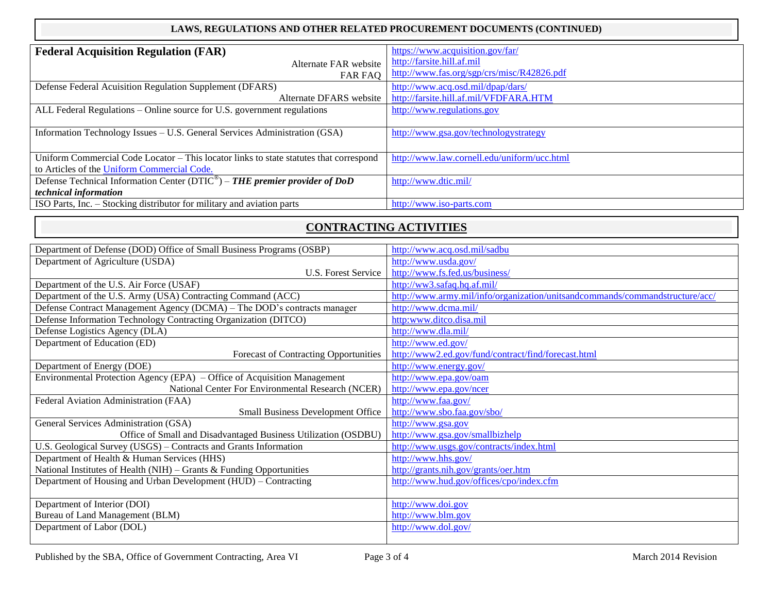#### **LAWS, REGULATIONS AND OTHER RELATED PROCUREMENT DOCUMENTS (CONTINUED)**

| <b>Federal Acquisition Regulation (FAR)</b>                                                 | https://www.acquisition.gov/far/            |
|---------------------------------------------------------------------------------------------|---------------------------------------------|
| Alternate FAR website                                                                       | http://farsite.hill.af.mil                  |
| <b>FAR FAO</b>                                                                              | http://www.fas.org/sgp/crs/misc/R42826.pdf  |
| Defense Federal Acuisition Regulation Supplement (DFARS)                                    | http://www.acq.osd.mil/dpap/dars/           |
| Alternate DFARS website                                                                     | http://farsite.hill.af.mil/VFDFARA.HTM      |
| ALL Federal Regulations – Online source for U.S. government regulations                     | http://www.regulations.gov                  |
|                                                                                             |                                             |
| Information Technology Issues - U.S. General Services Administration (GSA)                  | http://www.gsa.gov/technologystrategy       |
|                                                                                             |                                             |
| Uniform Commercial Code Locator - This locator links to state statutes that correspond      | http://www.law.cornell.edu/uniform/ucc.html |
| to Articles of the Uniform Commercial Code.                                                 |                                             |
| Defense Technical Information Center ( $DTIC^{\circledast}$ ) – THE premier provider of DoD | http://www.dtic.mil/                        |
| <i>technical information</i>                                                                |                                             |
| ISO Parts, Inc. - Stocking distributor for military and aviation parts                      | http://www.iso-parts.com                    |

## **CONTRACTING ACTIVITIES**

| Department of Defense (DOD) Office of Small Business Programs (OSBP)     | http://www.acq.osd.mil/sadbu                                                 |
|--------------------------------------------------------------------------|------------------------------------------------------------------------------|
| Department of Agriculture (USDA)                                         | http://www.usda.gov/                                                         |
| U.S. Forest Service                                                      | http://www.fs.fed.us/business/                                               |
| Department of the U.S. Air Force (USAF)                                  | http://ww3.safaq.hq.af.mil/                                                  |
| Department of the U.S. Army (USA) Contracting Command (ACC)              | http://www.army.mil/info/organization/unitsandcommands/commandstructure/acc/ |
| Defense Contract Management Agency (DCMA) - The DOD's contracts manager  | http://www.dcma.mil/                                                         |
| Defense Information Technology Contracting Organization (DITCO)          | http:www.ditco.disa.mil                                                      |
| Defense Logistics Agency (DLA)                                           | http://www.dla.mil/                                                          |
| Department of Education (ED)                                             | http://www.ed.gov/                                                           |
| <b>Forecast of Contracting Opportunities</b>                             | http://www2.ed.gov/fund/contract/find/forecast.html                          |
| Department of Energy (DOE)                                               | http://www.energy.gov/                                                       |
| Environmental Protection Agency (EPA) - Office of Acquisition Management | http://www.epa.gov/oam                                                       |
| National Center For Environmental Research (NCER)                        | http://www.epa.gov/ncer                                                      |
| Federal Aviation Administration (FAA)                                    | http://www.faa.gov/                                                          |
| <b>Small Business Development Office</b>                                 | http://www.sbo.faa.gov/sbo/                                                  |
| General Services Administration (GSA)                                    | http://www.gsa.gov                                                           |
| Office of Small and Disadvantaged Business Utilization (OSDBU)           | http://www.gsa.gov/smallbizhelp                                              |
| U.S. Geological Survey (USGS) - Contracts and Grants Information         | http://www.usgs.gov/contracts/index.html                                     |
| Department of Health & Human Services (HHS)                              | http://www.hhs.gov/                                                          |
| National Institutes of Health (NIH) - Grants & Funding Opportunities     | http://grants.nih.gov/grants/oer.htm                                         |
| Department of Housing and Urban Development (HUD) - Contracting          | http://www.hud.gov/offices/cpo/index.cfm                                     |
|                                                                          |                                                                              |
| Department of Interior (DOI)                                             | http://www.doi.gov                                                           |
| Bureau of Land Management (BLM)                                          | http://www.blm.gov                                                           |
| Department of Labor (DOL)                                                | http://www.dol.gov/                                                          |
|                                                                          |                                                                              |